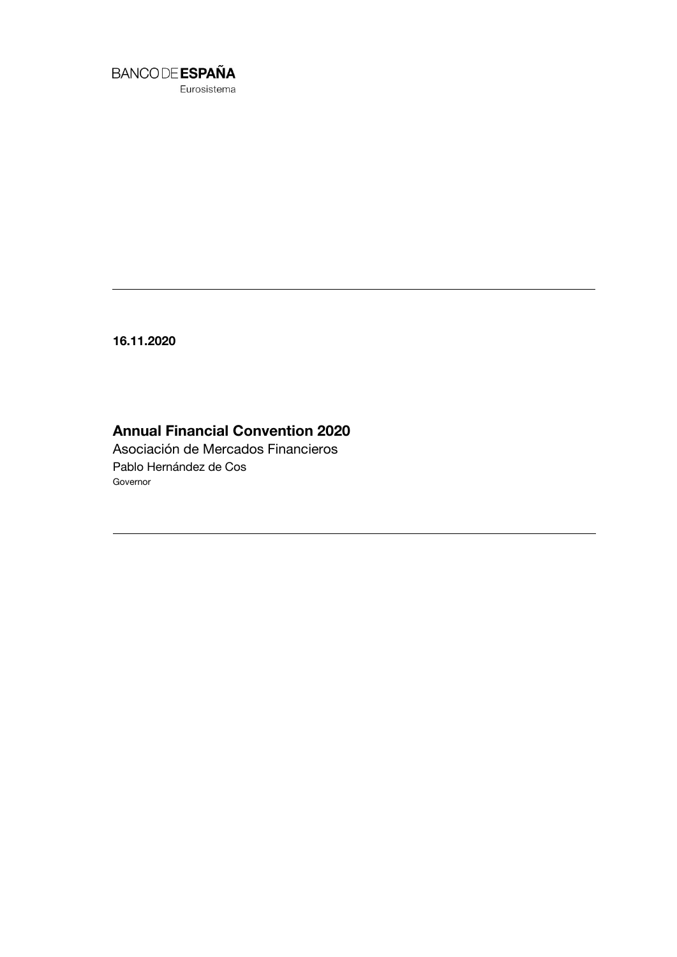

Eurosistema

**16.11.2020**

## **Annual Financial Convention 2020**

Asociación de Mercados Financieros Pablo Hernández de Cos Governor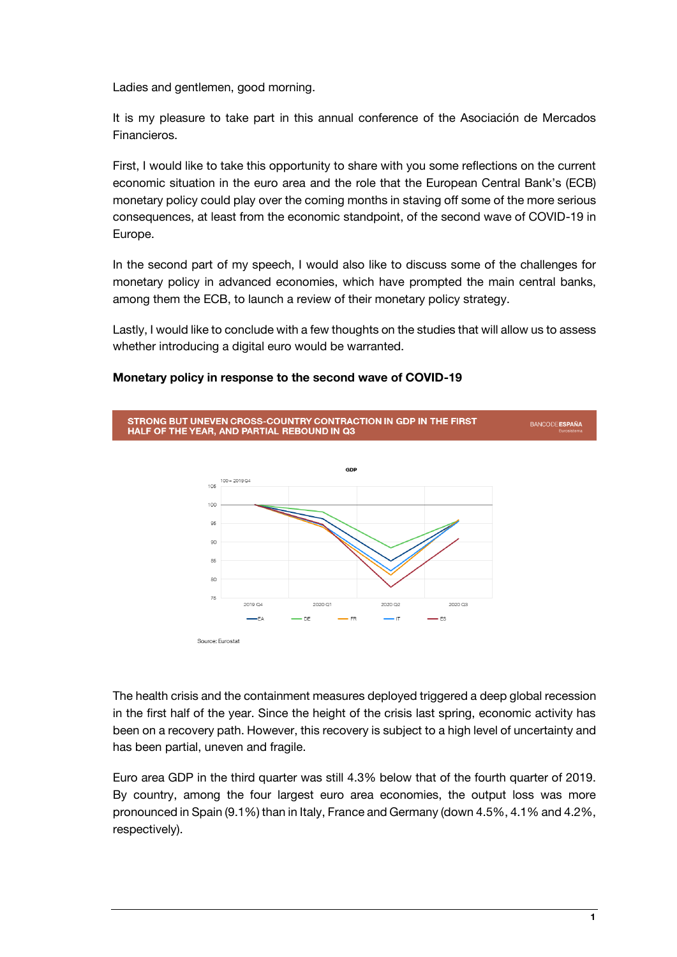Ladies and gentlemen, good morning.

It is my pleasure to take part in this annual conference of the Asociación de Mercados Financieros.

First, I would like to take this opportunity to share with you some reflections on the current economic situation in the euro area and the role that the European Central Bank's (ECB) monetary policy could play over the coming months in staving off some of the more serious consequences, at least from the economic standpoint, of the second wave of COVID-19 in Europe.

In the second part of my speech, I would also like to discuss some of the challenges for monetary policy in advanced economies, which have prompted the main central banks, among them the ECB, to launch a review of their monetary policy strategy.

Lastly, I would like to conclude with a few thoughts on the studies that will allow us to assess whether introducing a digital euro would be warranted.



## **Monetary policy in response to the second wave of COVID-19**

The health crisis and the containment measures deployed triggered a deep global recession in the first half of the year. Since the height of the crisis last spring, economic activity has been on a recovery path. However, this recovery is subject to a high level of uncertainty and has been partial, uneven and fragile.

Euro area GDP in the third quarter was still 4.3% below that of the fourth quarter of 2019. By country, among the four largest euro area economies, the output loss was more pronounced in Spain (9.1%) than in Italy, France and Germany (down 4.5%, 4.1% and 4.2%, respectively).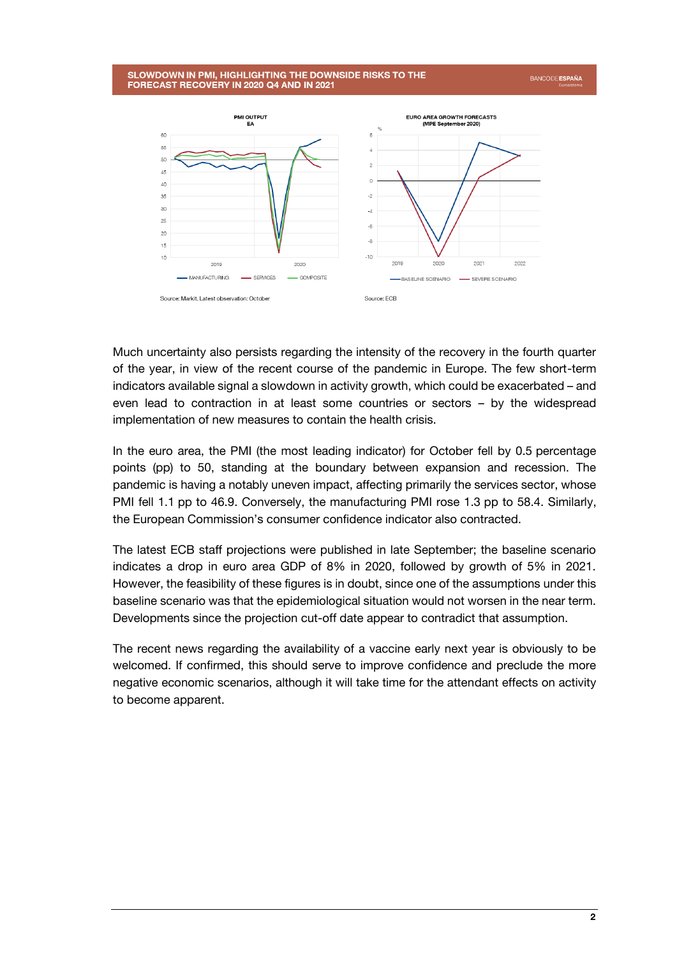#### SLOWDOWN IN PMI. HIGHLIGHTING THE DOWNSIDE RISKS TO THE FORECAST RECOVERY IN 2020 Q4 AND IN 2021





Much uncertainty also persists regarding the intensity of the recovery in the fourth quarter of the year, in view of the recent course of the pandemic in Europe. The few short-term indicators available signal a slowdown in activity growth, which could be exacerbated – and even lead to contraction in at least some countries or sectors – by the widespread implementation of new measures to contain the health crisis.

In the euro area, the PMI (the most leading indicator) for October fell by 0.5 percentage points (pp) to 50, standing at the boundary between expansion and recession. The pandemic is having a notably uneven impact, affecting primarily the services sector, whose PMI fell 1.1 pp to 46.9. Conversely, the manufacturing PMI rose 1.3 pp to 58.4. Similarly, the European Commission's consumer confidence indicator also contracted.

The latest ECB staff projections were published in late September; the baseline scenario indicates a drop in euro area GDP of 8% in 2020, followed by growth of 5% in 2021. However, the feasibility of these figures is in doubt, since one of the assumptions under this baseline scenario was that the epidemiological situation would not worsen in the near term. Developments since the projection cut-off date appear to contradict that assumption.

The recent news regarding the availability of a vaccine early next year is obviously to be welcomed. If confirmed, this should serve to improve confidence and preclude the more negative economic scenarios, although it will take time for the attendant effects on activity to become apparent.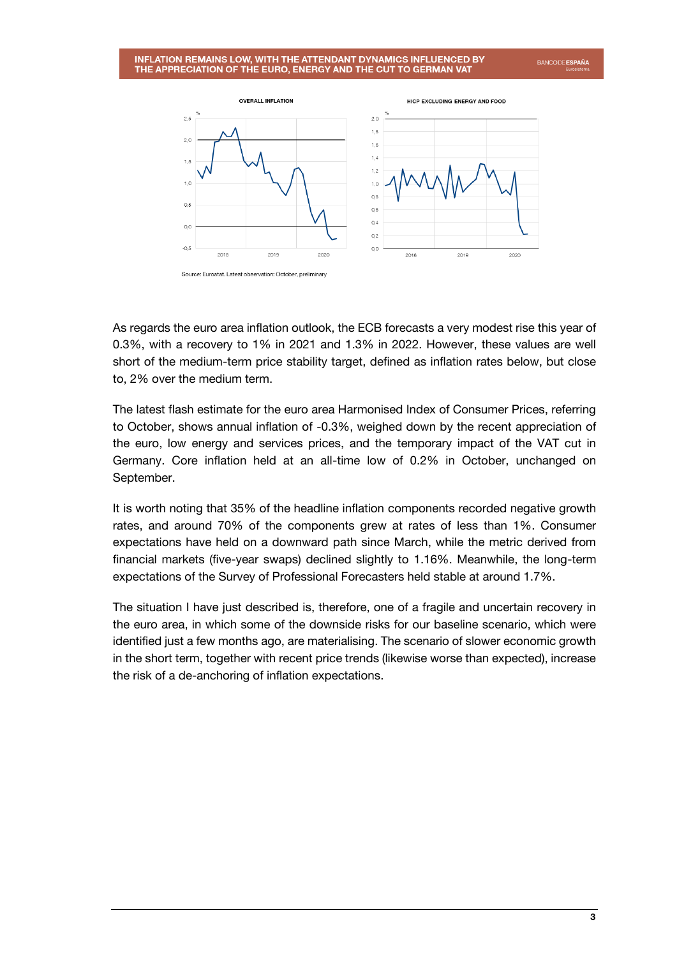# INFLATION REMAINS LOW, WITH THE ATTENDANT DYNAMICS INFLUENCED BY<br>THE APPRECIATION OF THE EURO, ENERGY AND THE CUT TO GERMAN VAT

**BANCODE ESPAÑA** 



As regards the euro area inflation outlook, the ECB forecasts a very modest rise this year of 0.3%, with a recovery to 1% in 2021 and 1.3% in 2022. However, these values are well short of the medium-term price stability target, defined as inflation rates below, but close to, 2% over the medium term.

The latest flash estimate for the euro area Harmonised Index of Consumer Prices, referring to October, shows annual inflation of -0.3%, weighed down by the recent appreciation of the euro, low energy and services prices, and the temporary impact of the VAT cut in Germany. Core inflation held at an all-time low of 0.2% in October, unchanged on September.

It is worth noting that 35% of the headline inflation components recorded negative growth rates, and around 70% of the components grew at rates of less than 1%. Consumer expectations have held on a downward path since March, while the metric derived from financial markets (five-year swaps) declined slightly to 1.16%. Meanwhile, the long-term expectations of the Survey of Professional Forecasters held stable at around 1.7%.

The situation I have just described is, therefore, one of a fragile and uncertain recovery in the euro area, in which some of the downside risks for our baseline scenario, which were identified just a few months ago, are materialising. The scenario of slower economic growth in the short term, together with recent price trends (likewise worse than expected), increase the risk of a de-anchoring of inflation expectations.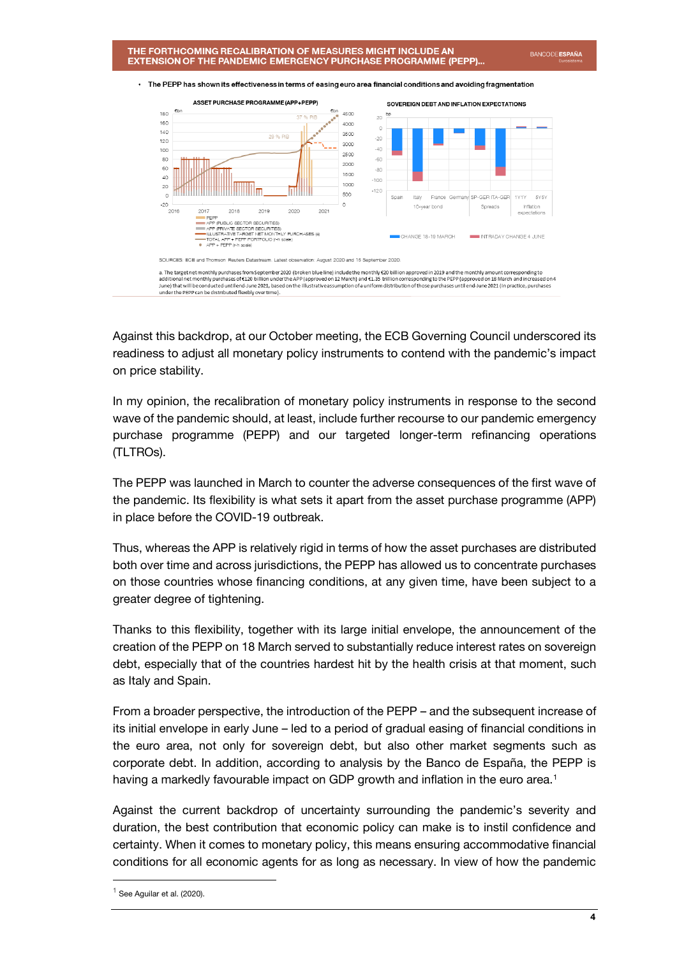

#### The PEPP has shown its effectiveness in terms of easing euro area financial conditions and avoiding fragmentation

Against this backdrop, at our October meeting, the ECB Governing Council underscored its readiness to adjust all monetary policy instruments to contend with the pandemic's impact on price stability.

In my opinion, the recalibration of monetary policy instruments in response to the second wave of the pandemic should, at least, include further recourse to our pandemic emergency purchase programme (PEPP) and our targeted longer-term refinancing operations (TLTROs).

The PEPP was launched in March to counter the adverse consequences of the first wave of the pandemic. Its flexibility is what sets it apart from the asset purchase programme (APP) in place before the COVID-19 outbreak.

Thus, whereas the APP is relatively rigid in terms of how the asset purchases are distributed both over time and across jurisdictions, the PEPP has allowed us to concentrate purchases on those countries whose financing conditions, at any given time, have been subject to a greater degree of tightening.

Thanks to this flexibility, together with its large initial envelope, the announcement of the creation of the PEPP on 18 March served to substantially reduce interest rates on sovereign debt, especially that of the countries hardest hit by the health crisis at that moment, such as Italy and Spain.

From a broader perspective, the introduction of the PEPP – and the subsequent increase of its initial envelope in early June – led to a period of gradual easing of financial conditions in the euro area, not only for sovereign debt, but also other market segments such as corporate debt. In addition, according to analysis by the Banco de España, the PEPP is having a markedly favourable impact on GDP growth and inflation in the euro area.<sup>1</sup>

Against the current backdrop of uncertainty surrounding the pandemic's severity and duration, the best contribution that economic policy can make is to instil confidence and certainty. When it comes to monetary policy, this means ensuring accommodative financial conditions for all economic agents for as long as necessary. In view of how the pandemic

l

 $<sup>1</sup>$  See Aguilar et al. (2020).</sup>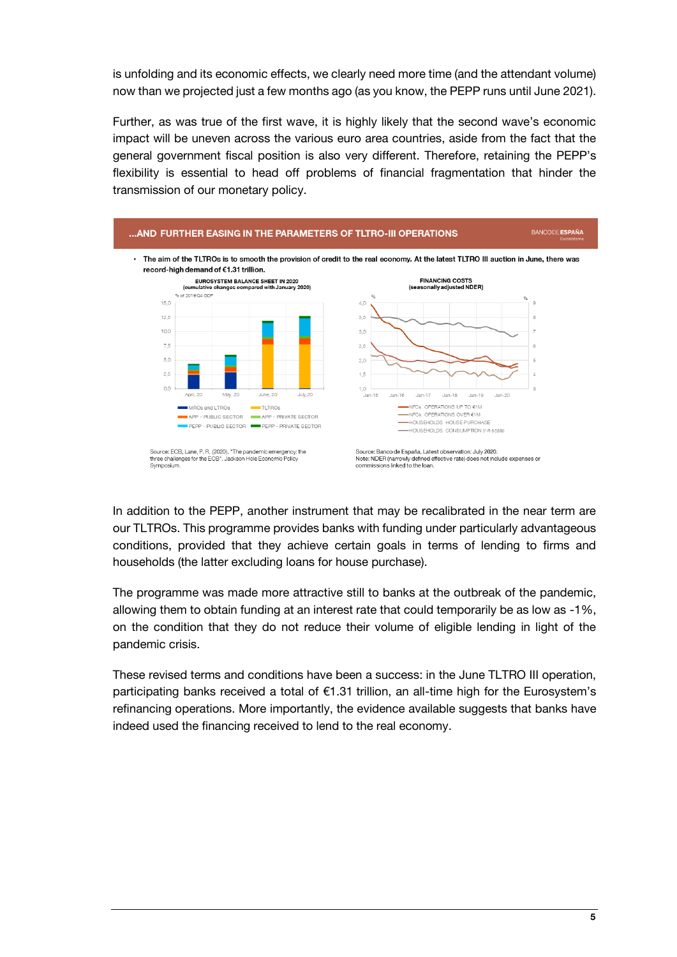is unfolding and its economic effects, we clearly need more time (and the attendant volume) now than we projected just a few months ago (as you know, the PEPP runs until June 2021).

Further, as was true of the first wave, it is highly likely that the second wave's economic impact will be uneven across the various euro area countries, aside from the fact that the general government fiscal position is also very different. Therefore, retaining the PEPP's flexibility is essential to head off problems of financial fragmentation that hinder the transmission of our monetary policy.



In addition to the PEPP, another instrument that may be recalibrated in the near term are our TLTROs. This programme provides banks with funding under particularly advantageous conditions, provided that they achieve certain goals in terms of lending to firms and households (the latter excluding loans for house purchase).

The programme was made more attractive still to banks at the outbreak of the pandemic, allowing them to obtain funding at an interest rate that could temporarily be as low as -1%, on the condition that they do not reduce their volume of eligible lending in light of the pandemic crisis.

These revised terms and conditions have been a success: in the June TLTRO III operation, participating banks received a total of €1.31 trillion, an all-time high for the Eurosystem's refinancing operations. More importantly, the evidence available suggests that banks have indeed used the financing received to lend to the real economy.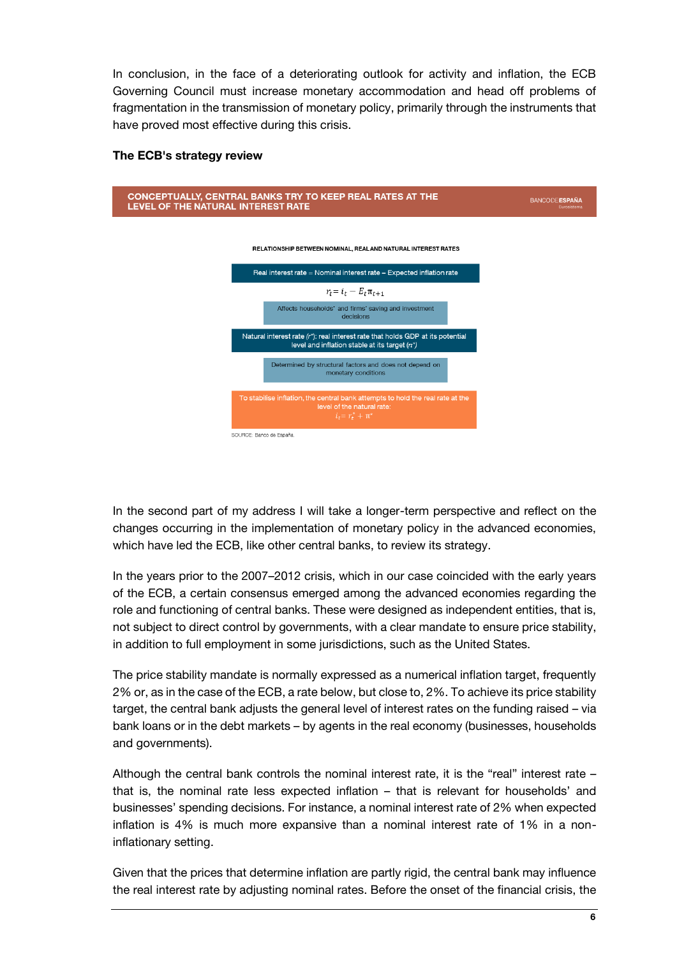In conclusion, in the face of a deteriorating outlook for activity and inflation, the ECB Governing Council must increase monetary accommodation and head off problems of fragmentation in the transmission of monetary policy, primarily through the instruments that have proved most effective during this crisis.

## **The ECB's strategy review**



In the second part of my address I will take a longer-term perspective and reflect on the changes occurring in the implementation of monetary policy in the advanced economies, which have led the ECB, like other central banks, to review its strategy.

In the years prior to the 2007–2012 crisis, which in our case coincided with the early years of the ECB, a certain consensus emerged among the advanced economies regarding the role and functioning of central banks. These were designed as independent entities, that is, not subject to direct control by governments, with a clear mandate to ensure price stability, in addition to full employment in some jurisdictions, such as the United States.

The price stability mandate is normally expressed as a numerical inflation target, frequently 2% or, as in the case of the ECB, a rate below, but close to, 2%. To achieve its price stability target, the central bank adjusts the general level of interest rates on the funding raised – via bank loans or in the debt markets – by agents in the real economy (businesses, households and governments).

Although the central bank controls the nominal interest rate, it is the "real" interest rate – that is, the nominal rate less expected inflation – that is relevant for households' and businesses' spending decisions. For instance, a nominal interest rate of 2% when expected inflation is 4% is much more expansive than a nominal interest rate of 1% in a noninflationary setting.

Given that the prices that determine inflation are partly rigid, the central bank may influence the real interest rate by adjusting nominal rates. Before the onset of the financial crisis, the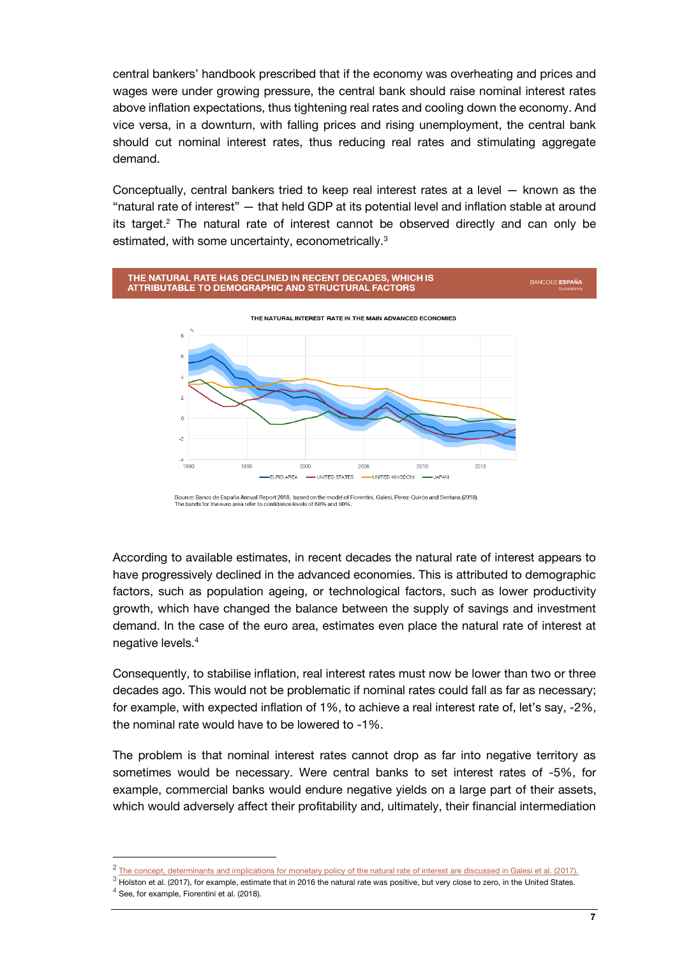central bankers' handbook prescribed that if the economy was overheating and prices and wages were under growing pressure, the central bank should raise nominal interest rates above inflation expectations, thus tightening real rates and cooling down the economy. And vice versa, in a downturn, with falling prices and rising unemployment, the central bank should cut nominal interest rates, thus reducing real rates and stimulating aggregate demand.

Conceptually, central bankers tried to keep real interest rates at a level — known as the "natural rate of interest" — that held GDP at its potential level and inflation stable at around its target.<sup>2</sup> The natural rate of interest cannot be observed directly and can only be estimated, with some uncertainty, econometrically.<sup>3</sup>





According to available estimates, in recent decades the natural rate of interest appears to have progressively declined in the advanced economies. This is attributed to demographic factors, such as population ageing, or technological factors, such as lower productivity growth, which have changed the balance between the supply of savings and investment demand. In the case of the euro area, estimates even place the natural rate of interest at negative levels.<sup>4</sup>

Consequently, to stabilise inflation, real interest rates must now be lower than two or three decades ago. This would not be problematic if nominal rates could fall as far as necessary; for example, with expected inflation of 1%, to achieve a real interest rate of, let's say, -2%, the nominal rate would have to be lowered to -1%.

The problem is that nominal interest rates cannot drop as far into negative territory as sometimes would be necessary. Were central banks to set interest rates of -5%, for example, commercial banks would endure negative yields on a large part of their assets, which would adversely affect their profitability and, ultimately, their financial intermediation

 $<sup>4</sup>$  See, for example, Fiorentini et al. (2018).</sup>

1

 $^2$  [The concept, determinants and implications for monetary policy](https://www.bde.es/f/webbde/SES/Secciones/Publicaciones/InformesBoletinesRevistas/ArticulosAnaliticos/2017/T1/files/beaa1701-art7e.pdf) of the natural rate of interest are discussed in Galesi et al. (2017).

 $3$  Holston et al. (2017), for example, estimate that in 2016 the natural rate was positive, but very close to zero, in the United States.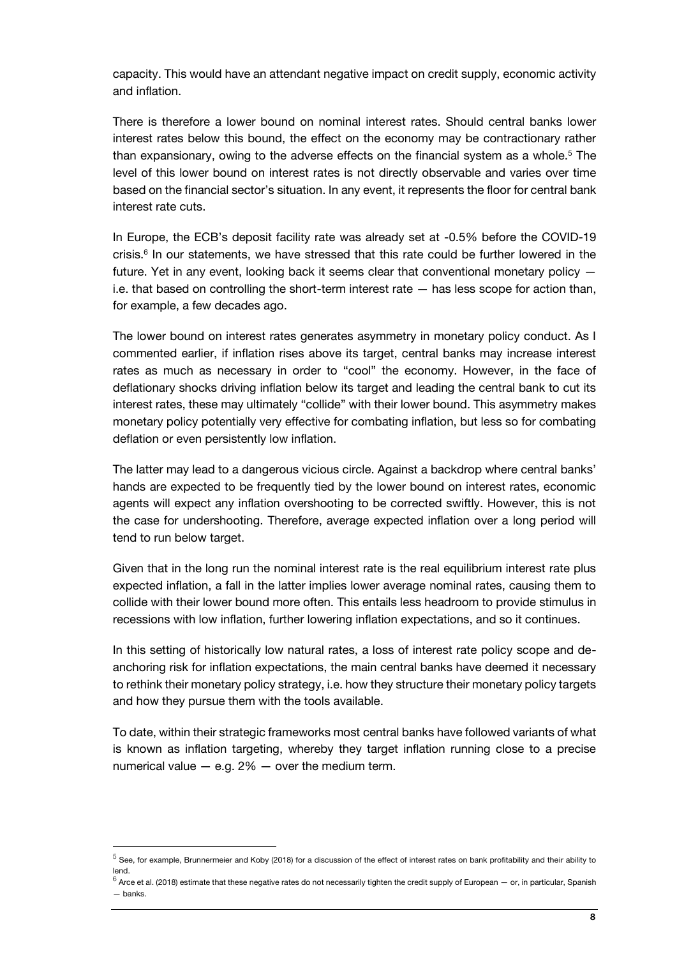capacity. This would have an attendant negative impact on credit supply, economic activity and inflation.

There is therefore a lower bound on nominal interest rates. Should central banks lower interest rates below this bound, the effect on the economy may be contractionary rather than expansionary, owing to the adverse effects on the financial system as a whole.<sup>5</sup> The level of this lower bound on interest rates is not directly observable and varies over time based on the financial sector's situation. In any event, it represents the floor for central bank interest rate cuts.

In Europe, the ECB's deposit facility rate was already set at -0.5% before the COVID-19 crisis.<sup>6</sup> In our statements, we have stressed that this rate could be further lowered in the future. Yet in any event, looking back it seems clear that conventional monetary policy i.e. that based on controlling the short-term interest rate — has less scope for action than, for example, a few decades ago.

The lower bound on interest rates generates asymmetry in monetary policy conduct. As I commented earlier, if inflation rises above its target, central banks may increase interest rates as much as necessary in order to "cool" the economy. However, in the face of deflationary shocks driving inflation below its target and leading the central bank to cut its interest rates, these may ultimately "collide" with their lower bound. This asymmetry makes monetary policy potentially very effective for combating inflation, but less so for combating deflation or even persistently low inflation.

The latter may lead to a dangerous vicious circle. Against a backdrop where central banks' hands are expected to be frequently tied by the lower bound on interest rates, economic agents will expect any inflation overshooting to be corrected swiftly. However, this is not the case for undershooting. Therefore, average expected inflation over a long period will tend to run below target.

Given that in the long run the nominal interest rate is the real equilibrium interest rate plus expected inflation, a fall in the latter implies lower average nominal rates, causing them to collide with their lower bound more often. This entails less headroom to provide stimulus in recessions with low inflation, further lowering inflation expectations, and so it continues.

In this setting of historically low natural rates, a loss of interest rate policy scope and deanchoring risk for inflation expectations, the main central banks have deemed it necessary to rethink their monetary policy strategy, i.e. how they structure their monetary policy targets and how they pursue them with the tools available.

To date, within their strategic frameworks most central banks have followed variants of what is known as inflation targeting, whereby they target inflation running close to a precise numerical value  $-$  e.g. 2%  $-$  over the medium term.

l

 $^5$  See, for example, Brunnermeier and Koby (2018) for a discussion of the effect of interest rates on bank profitability and their ability to lend.

 $^6$  Arce et al. (2018) estimate that these negative rates do not necessarily tighten the credit supply of European — or, in particular, Spanish — banks.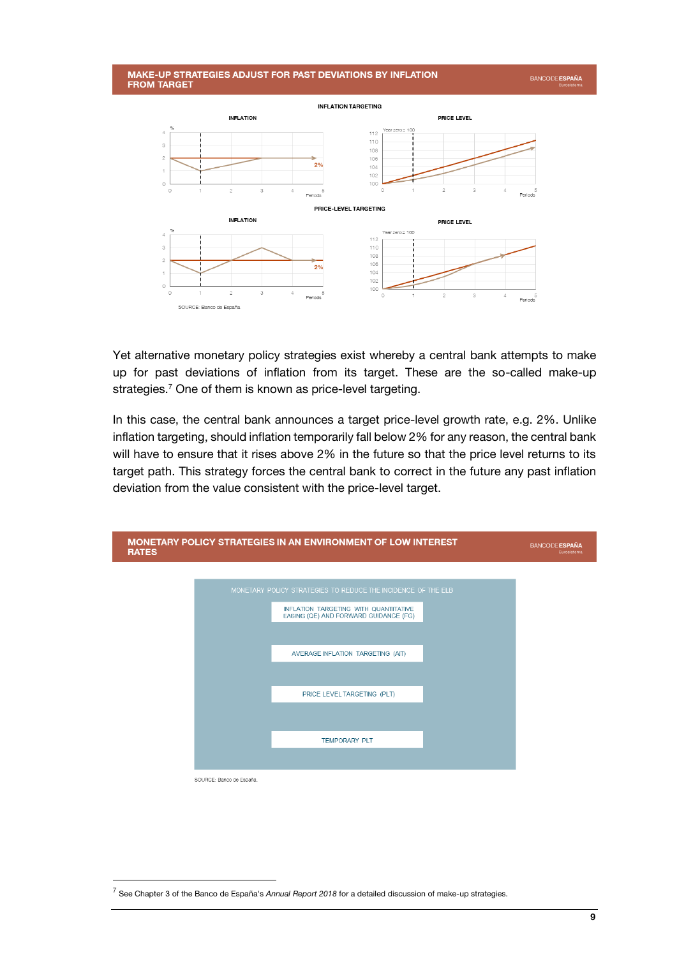#### MAKE-UP STRATEGIES ADJUST FOR PAST DEVIATIONS BY INFLATION **FROM TARGET**



Yet alternative monetary policy strategies exist whereby a central bank attempts to make up for past deviations of inflation from its target. These are the so-called make-up strategies.<sup>7</sup> One of them is known as price-level targeting.

In this case, the central bank announces a target price-level growth rate, e.g. 2%. Unlike inflation targeting, should inflation temporarily fall below 2% for any reason, the central bank will have to ensure that it rises above 2% in the future so that the price level returns to its target path. This strategy forces the central bank to correct in the future any past inflation deviation from the value consistent with the price-level target.



l

**BANCODE ESPAÑA** 

<sup>7</sup> See Chapter 3 of the Banco de España's *Annual Report 2018* for a detailed discussion of make-up strategies.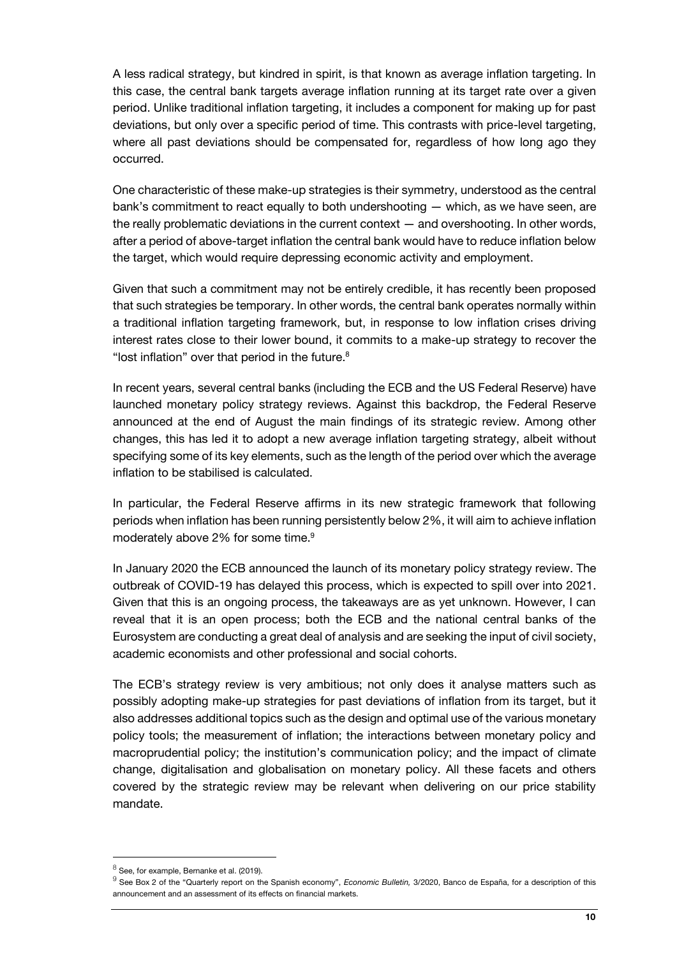A less radical strategy, but kindred in spirit, is that known as average inflation targeting. In this case, the central bank targets average inflation running at its target rate over a given period. Unlike traditional inflation targeting, it includes a component for making up for past deviations, but only over a specific period of time. This contrasts with price-level targeting, where all past deviations should be compensated for, regardless of how long ago they occurred.

One characteristic of these make-up strategies is their symmetry, understood as the central bank's commitment to react equally to both undershooting — which, as we have seen, are the really problematic deviations in the current context — and overshooting. In other words, after a period of above-target inflation the central bank would have to reduce inflation below the target, which would require depressing economic activity and employment.

Given that such a commitment may not be entirely credible, it has recently been proposed that such strategies be temporary. In other words, the central bank operates normally within a traditional inflation targeting framework, but, in response to low inflation crises driving interest rates close to their lower bound, it commits to a make-up strategy to recover the "lost inflation" over that period in the future.<sup>8</sup>

In recent years, several central banks (including the ECB and the US Federal Reserve) have launched monetary policy strategy reviews. Against this backdrop, the Federal Reserve announced at the end of August the main findings of its strategic review. Among other changes, this has led it to adopt a new average inflation targeting strategy, albeit without specifying some of its key elements, such as the length of the period over which the average inflation to be stabilised is calculated.

In particular, the Federal Reserve affirms in its new strategic framework that following periods when inflation has been running persistently below 2%, it will aim to achieve inflation moderately above 2% for some time.<sup>9</sup>

In January 2020 the ECB announced the launch of its monetary policy strategy review. The outbreak of COVID-19 has delayed this process, which is expected to spill over into 2021. Given that this is an ongoing process, the takeaways are as yet unknown. However, I can reveal that it is an open process; both the ECB and the national central banks of the Eurosystem are conducting a great deal of analysis and are seeking the input of civil society, academic economists and other professional and social cohorts.

The ECB's strategy review is very ambitious; not only does it analyse matters such as possibly adopting make-up strategies for past deviations of inflation from its target, but it also addresses additional topics such as the design and optimal use of the various monetary policy tools; the measurement of inflation; the interactions between monetary policy and macroprudential policy; the institution's communication policy; and the impact of climate change, digitalisation and globalisation on monetary policy. All these facets and others covered by the strategic review may be relevant when delivering on our price stability mandate.

1

 $^8$  See, for example, Bernanke et al. (2019).

<sup>9</sup> See Box 2 of the "Quarterly report on the Spanish economy", *Economic Bulletin,* 3/2020, Banco de España, for a description of this announcement and an assessment of its effects on financial markets.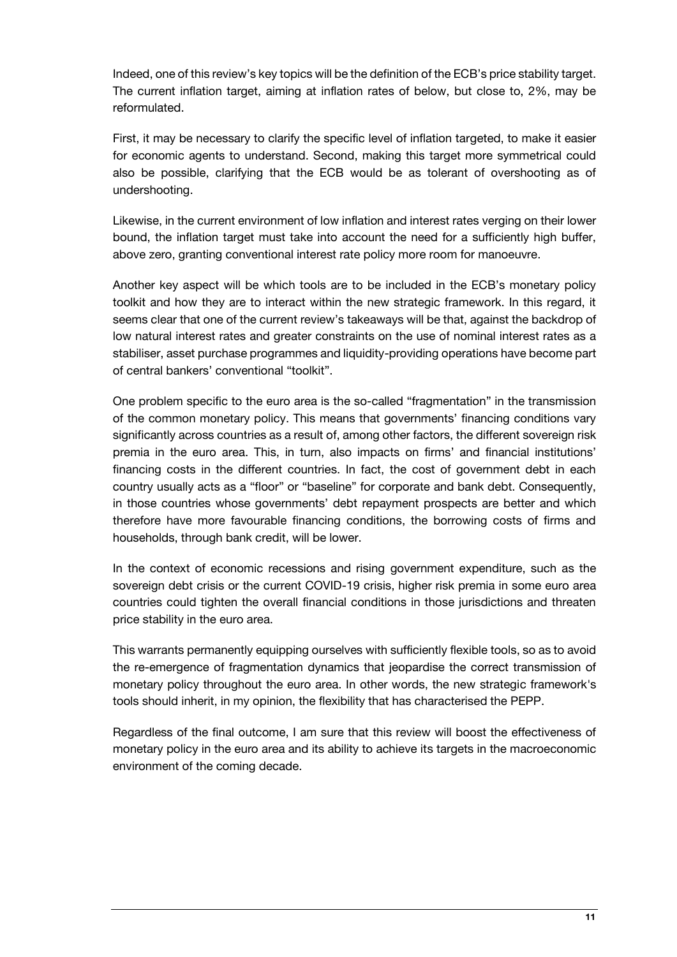Indeed, one of this review's key topics will be the definition of the ECB's price stability target. The current inflation target, aiming at inflation rates of below, but close to, 2%, may be reformulated.

First, it may be necessary to clarify the specific level of inflation targeted, to make it easier for economic agents to understand. Second, making this target more symmetrical could also be possible, clarifying that the ECB would be as tolerant of overshooting as of undershooting.

Likewise, in the current environment of low inflation and interest rates verging on their lower bound, the inflation target must take into account the need for a sufficiently high buffer, above zero, granting conventional interest rate policy more room for manoeuvre.

Another key aspect will be which tools are to be included in the ECB's monetary policy toolkit and how they are to interact within the new strategic framework. In this regard, it seems clear that one of the current review's takeaways will be that, against the backdrop of low natural interest rates and greater constraints on the use of nominal interest rates as a stabiliser, asset purchase programmes and liquidity-providing operations have become part of central bankers' conventional "toolkit".

One problem specific to the euro area is the so-called "fragmentation" in the transmission of the common monetary policy. This means that governments' financing conditions vary significantly across countries as a result of, among other factors, the different sovereign risk premia in the euro area. This, in turn, also impacts on firms' and financial institutions' financing costs in the different countries. In fact, the cost of government debt in each country usually acts as a "floor" or "baseline" for corporate and bank debt. Consequently, in those countries whose governments' debt repayment prospects are better and which therefore have more favourable financing conditions, the borrowing costs of firms and households, through bank credit, will be lower.

In the context of economic recessions and rising government expenditure, such as the sovereign debt crisis or the current COVID-19 crisis, higher risk premia in some euro area countries could tighten the overall financial conditions in those jurisdictions and threaten price stability in the euro area.

This warrants permanently equipping ourselves with sufficiently flexible tools, so as to avoid the re-emergence of fragmentation dynamics that jeopardise the correct transmission of monetary policy throughout the euro area. In other words, the new strategic framework's tools should inherit, in my opinion, the flexibility that has characterised the PEPP.

Regardless of the final outcome, I am sure that this review will boost the effectiveness of monetary policy in the euro area and its ability to achieve its targets in the macroeconomic environment of the coming decade.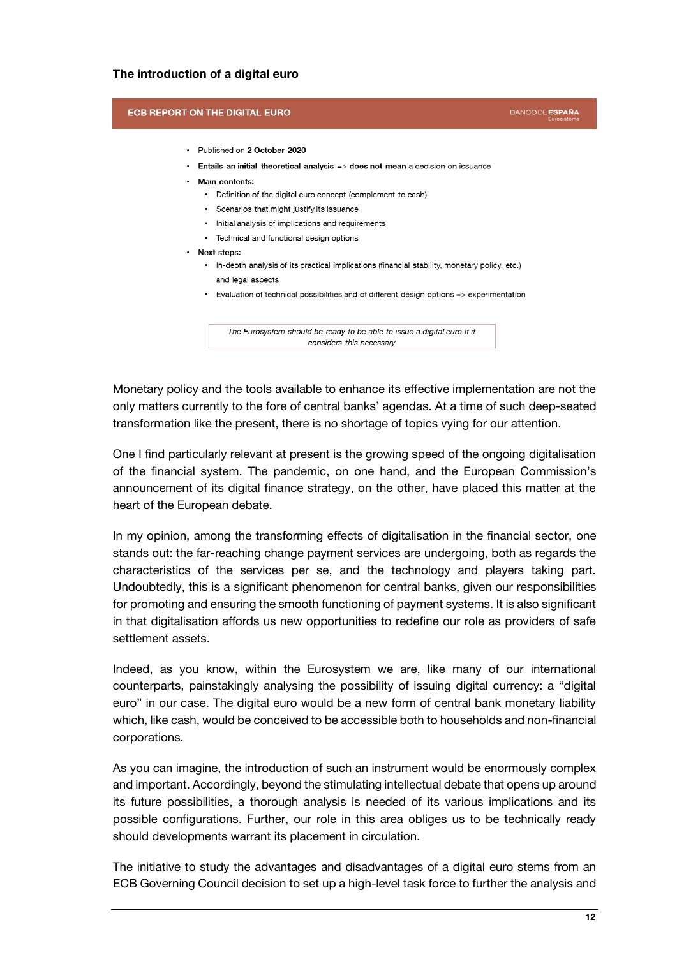## **The introduction of a digital euro**

#### **ECB REPORT ON THE DIGITAL EURO**

```
BANCODE ESPAÑA
```
- Published on 2 October 2020
- Entails an initial theoretical analysis => does not mean a decision on issuance
- Main contents:
	- Definition of the digital euro concept (complement to cash)
	- Scenarios that might justify its issuance
	- · Initial analysis of implications and requirements
	- Technical and functional design options
- Next steps:
	- In-depth analysis of its practical implications (financial stability, monetary policy, etc.) and legal aspects
	- Evaluation of technical possibilities and of different design options => experimentation

The Eurosystem should be ready to be able to issue a digital euro if it considers this necessary

Monetary policy and the tools available to enhance its effective implementation are not the only matters currently to the fore of central banks' agendas. At a time of such deep-seated transformation like the present, there is no shortage of topics vying for our attention.

One I find particularly relevant at present is the growing speed of the ongoing digitalisation of the financial system. The pandemic, on one hand, and the European Commission's announcement of its digital finance strategy, on the other, have placed this matter at the heart of the European debate.

In my opinion, among the transforming effects of digitalisation in the financial sector, one stands out: the far-reaching change payment services are undergoing, both as regards the characteristics of the services per se, and the technology and players taking part. Undoubtedly, this is a significant phenomenon for central banks, given our responsibilities for promoting and ensuring the smooth functioning of payment systems. It is also significant in that digitalisation affords us new opportunities to redefine our role as providers of safe settlement assets.

Indeed, as you know, within the Eurosystem we are, like many of our international counterparts, painstakingly analysing the possibility of issuing digital currency: a "digital euro" in our case. The digital euro would be a new form of central bank monetary liability which, like cash, would be conceived to be accessible both to households and non-financial corporations.

As you can imagine, the introduction of such an instrument would be enormously complex and important. Accordingly, beyond the stimulating intellectual debate that opens up around its future possibilities, a thorough analysis is needed of its various implications and its possible configurations. Further, our role in this area obliges us to be technically ready should developments warrant its placement in circulation.

The initiative to study the advantages and disadvantages of a digital euro stems from an ECB Governing Council decision to set up a high-level task force to further the analysis and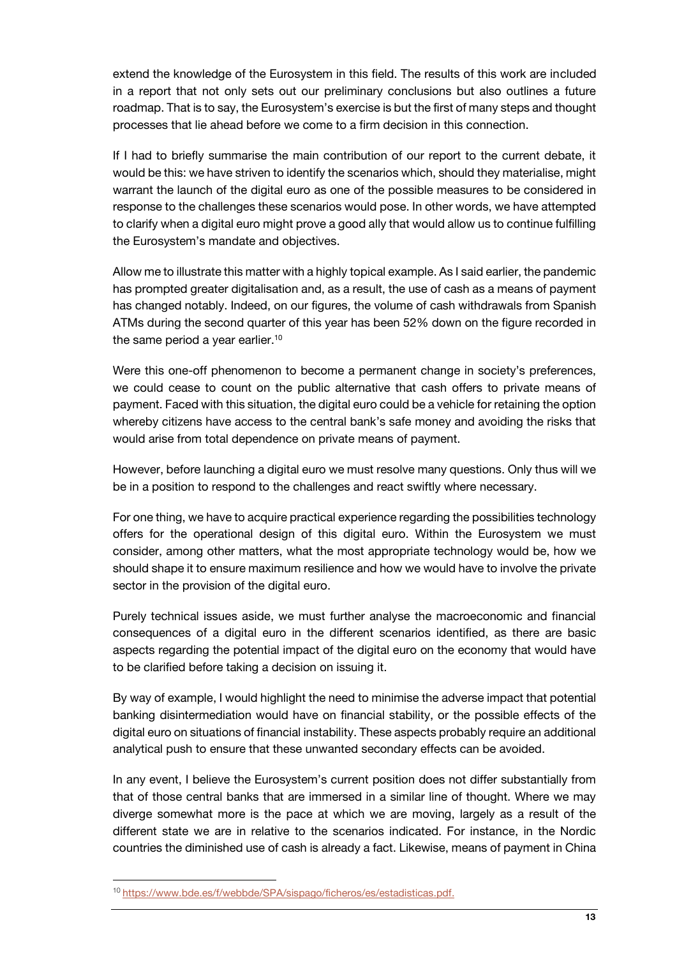extend the knowledge of the Eurosystem in this field. The results of this work are included in a report that not only sets out our preliminary conclusions but also outlines a future roadmap. That is to say, the Eurosystem's exercise is but the first of many steps and thought processes that lie ahead before we come to a firm decision in this connection.

If I had to briefly summarise the main contribution of our report to the current debate, it would be this: we have striven to identify the scenarios which, should they materialise, might warrant the launch of the digital euro as one of the possible measures to be considered in response to the challenges these scenarios would pose. In other words, we have attempted to clarify when a digital euro might prove a good ally that would allow us to continue fulfilling the Eurosystem's mandate and objectives.

Allow me to illustrate this matter with a highly topical example. As I said earlier, the pandemic has prompted greater digitalisation and, as a result, the use of cash as a means of payment has changed notably. Indeed, on our figures, the volume of cash withdrawals from Spanish ATMs during the second quarter of this year has been 52% down on the figure recorded in the same period a year earlier.<sup>10</sup>

Were this one-off phenomenon to become a permanent change in society's preferences, we could cease to count on the public alternative that cash offers to private means of payment. Faced with this situation, the digital euro could be a vehicle for retaining the option whereby citizens have access to the central bank's safe money and avoiding the risks that would arise from total dependence on private means of payment.

However, before launching a digital euro we must resolve many questions. Only thus will we be in a position to respond to the challenges and react swiftly where necessary.

For one thing, we have to acquire practical experience regarding the possibilities technology offers for the operational design of this digital euro. Within the Eurosystem we must consider, among other matters, what the most appropriate technology would be, how we should shape it to ensure maximum resilience and how we would have to involve the private sector in the provision of the digital euro.

Purely technical issues aside, we must further analyse the macroeconomic and financial consequences of a digital euro in the different scenarios identified, as there are basic aspects regarding the potential impact of the digital euro on the economy that would have to be clarified before taking a decision on issuing it.

By way of example, I would highlight the need to minimise the adverse impact that potential banking disintermediation would have on financial stability, or the possible effects of the digital euro on situations of financial instability. These aspects probably require an additional analytical push to ensure that these unwanted secondary effects can be avoided.

In any event, I believe the Eurosystem's current position does not differ substantially from that of those central banks that are immersed in a similar line of thought. Where we may diverge somewhat more is the pace at which we are moving, largely as a result of the different state we are in relative to the scenarios indicated. For instance, in the Nordic countries the diminished use of cash is already a fact. Likewise, means of payment in China

<sup>10</sup> [https://www.bde.es/f/webbde/SPA/sispago/ficheros/es/estadisticas.pdf.](https://www.bde.es/f/webbde/SPA/sispago/ficheros/es/estadisticas.pdf)

l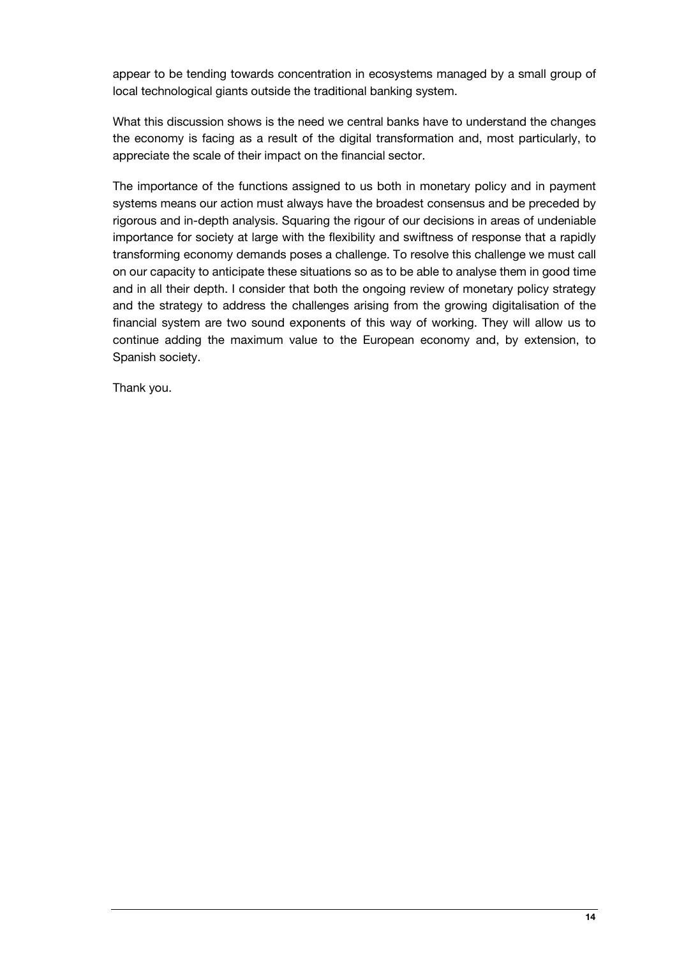appear to be tending towards concentration in ecosystems managed by a small group of local technological giants outside the traditional banking system.

What this discussion shows is the need we central banks have to understand the changes the economy is facing as a result of the digital transformation and, most particularly, to appreciate the scale of their impact on the financial sector.

The importance of the functions assigned to us both in monetary policy and in payment systems means our action must always have the broadest consensus and be preceded by rigorous and in-depth analysis. Squaring the rigour of our decisions in areas of undeniable importance for society at large with the flexibility and swiftness of response that a rapidly transforming economy demands poses a challenge. To resolve this challenge we must call on our capacity to anticipate these situations so as to be able to analyse them in good time and in all their depth. I consider that both the ongoing review of monetary policy strategy and the strategy to address the challenges arising from the growing digitalisation of the financial system are two sound exponents of this way of working. They will allow us to continue adding the maximum value to the European economy and, by extension, to Spanish society.

Thank you.